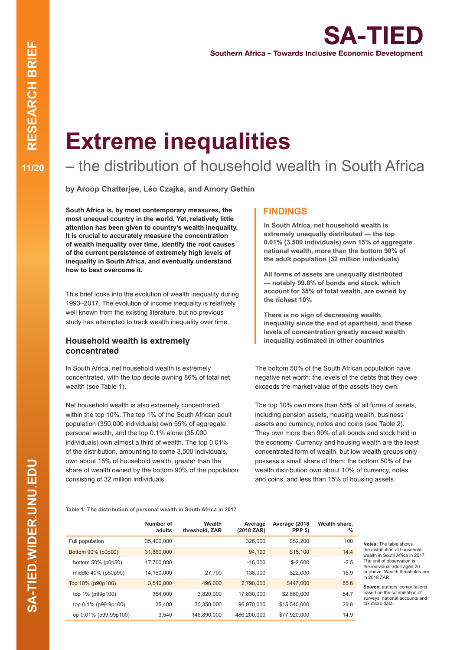**SA-TIE Southern Africa - Towards Inclusive Economic Development** 

# **Extreme inequalities**

## – the distribution of household wealth in South Africa

**by Aroop Chatterjee, Léo Czajka, and Amory Gethin**

**South Africa is, by most contemporary measures, the most unequal country in the world. Yet, relatively little attention has been given to country's wealth inequality. It is crucial to accurately measure the concentration of wealth inequality over time, identify the root causes of the current persistence of extremely high levels of inequality in South Africa, and eventually understand how to best overcome it.**

This brief looks into the evolution of wealth inequality during 1993–2017. The evolution of income inequality is relatively well known from the existing literature, but no previous study has attempted to track wealth inequality over time.

#### **Household wealth is extremely concentrated**

In South Africa, net household wealth is extremely concentrated, with the top decile owning 86% of total net wealth (see Table 1).

Net household wealth is also extremely concentrated within the top 10%. The top 1% of the South African adult population (350,000 individuals) own 55% of aggregate personal wealth, and the top 0.1% alone (35,000 individuals) own almost a third of wealth. The top 0.01% of the distribution, amounting to some 3,500 individuals, own about 15% of household wealth, greater than the share of wealth owned by the bottom 90% of the population consisting of 32 million individuals.

### **FINDINGS**

**In South Africa, net household wealth is extremely unequally distributed — the top 0.01% (3,500 individuals) own 15% of aggregate national wealth, more than the bottom 90% of the adult population (32 million individuals)**

**All forms of assets are unequally distributed — notably 99.8% of bonds and stock, which account for 35% of total wealth, are owned by the richest 10%**

**There is no sign of decreasing wealth inequality since the end of apartheid, and these levels of concentration greatly exceed wealth inequality estimated in other countries**

The bottom 50% of the South African population have negative net worth: the levels of the debts that they owe exceeds the market value of the assets they own.

The top 10% own more than 55% of all forms of assets, including pension assets, housing wealth, business assets and currency, notes and coins (see Table 2). They own more than 99% of all bonds and stock held in the economy. Currency and housing wealth are the least concentrated form of wealth, but low wealth groups only possess a small share of them: the bottom 50% of the wealth distribution own about 10% of currency, notes and coins, and less than 15% of housing assets.

**Table 1: The distribution of personal wealth in South Africa in 2017**

|                       | Number of<br>adults | Wealth<br>threshold, ZAR | Average<br>(2018 ZAR) | Average (2018<br>PPP \$) | Wealth share,<br>$\frac{0}{0}$ |
|-----------------------|---------------------|--------------------------|-----------------------|--------------------------|--------------------------------|
| Full population       | 35.400.000          |                          | 326,000               | \$52,200                 | 100                            |
| Bottom 90% (p0p90)    | 31,860,000          |                          | 94.100                | \$15,100                 | 14.4                           |
| bottom 50% (p0p50)    | 17.700.000          |                          | $-16.000$             | $$-2.600$                | $-2.5$                         |
| middle 40% (p50p90)   | 14,160,000          | 27,700                   | 138.000               | \$22,000                 | 16.9                           |
| Top 10% (p90p100)     | 3,540,000           | 496,000                  | 2,790,000             | \$447,000                | 85.6                           |
| top 1% (p99p100)      | 354.000             | 3,820,000                | 17,830,000            | \$2,860,000              | 54.7                           |
| top 0.1% (p99.9p100)  | 35.400              | 30.350.000               | 96.970.000            | \$15,540,000             | 29.8                           |
| op 0.01% (p99.99p100) | 3.540               | 146.890.000              | 486.200.000           | \$77,920,000             | 14.9                           |

**Notes:** The table shows the distribution of household wealth in South Africa in 2017. The unit of observation is the individual adult aged 20 or above. Wealth thresholds are in 2018 ZAR.

 **Source:** authors' computations based on the combination of surveys, national accounts and tax micro data.